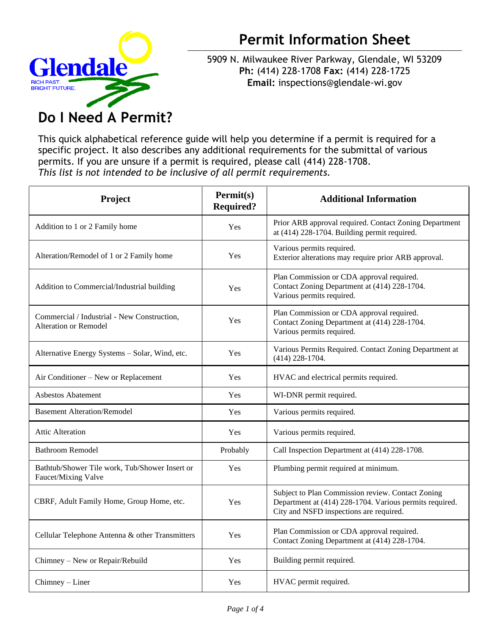

## **Permit Information Sheet**

5909 N. Milwaukee River Parkway, Glendale, WI 53209 **Ph:** (414) 228-1708 **Fax:** (414) 228-1725 **Email:** [inspections@glendale-wi.gov](mailto:inspections@glendale-wi.gov)

## **Do I Need A Permit?**

This quick alphabetical reference guide will help you determine if a permit is required for a specific project. It also describes any additional requirements for the submittal of various permits. If you are unsure if a permit is required, please call (414) 228-1708. *This list is not intended to be inclusive of all permit requirements.*

| Project                                                                     | Permit(s)<br><b>Required?</b> | <b>Additional Information</b>                                                                                                                           |
|-----------------------------------------------------------------------------|-------------------------------|---------------------------------------------------------------------------------------------------------------------------------------------------------|
| Addition to 1 or 2 Family home                                              | Yes                           | Prior ARB approval required. Contact Zoning Department<br>at (414) 228-1704. Building permit required.                                                  |
| Alteration/Remodel of 1 or 2 Family home                                    | Yes                           | Various permits required.<br>Exterior alterations may require prior ARB approval.                                                                       |
| Addition to Commercial/Industrial building                                  | Yes                           | Plan Commission or CDA approval required.<br>Contact Zoning Department at (414) 228-1704.<br>Various permits required.                                  |
| Commercial / Industrial - New Construction,<br><b>Alteration or Remodel</b> | Yes                           | Plan Commission or CDA approval required.<br>Contact Zoning Department at (414) 228-1704.<br>Various permits required.                                  |
| Alternative Energy Systems - Solar, Wind, etc.                              | Yes                           | Various Permits Required. Contact Zoning Department at<br>$(414)$ 228-1704.                                                                             |
| Air Conditioner – New or Replacement                                        | Yes                           | HVAC and electrical permits required.                                                                                                                   |
| Asbestos Abatement                                                          | Yes                           | WI-DNR permit required.                                                                                                                                 |
| <b>Basement Alteration/Remodel</b>                                          | Yes                           | Various permits required.                                                                                                                               |
| <b>Attic Alteration</b>                                                     | Yes                           | Various permits required.                                                                                                                               |
| <b>Bathroom Remodel</b>                                                     | Probably                      | Call Inspection Department at (414) 228-1708.                                                                                                           |
| Bathtub/Shower Tile work, Tub/Shower Insert or<br>Faucet/Mixing Valve       | Yes                           | Plumbing permit required at minimum.                                                                                                                    |
| CBRF, Adult Family Home, Group Home, etc.                                   | Yes                           | Subject to Plan Commission review. Contact Zoning<br>Department at (414) 228-1704. Various permits required.<br>City and NSFD inspections are required. |
| Cellular Telephone Antenna & other Transmitters                             | Yes                           | Plan Commission or CDA approval required.<br>Contact Zoning Department at (414) 228-1704.                                                               |
| Chimney - New or Repair/Rebuild                                             | Yes                           | Building permit required.                                                                                                                               |
| Chimney - Liner                                                             | Yes                           | HVAC permit required.                                                                                                                                   |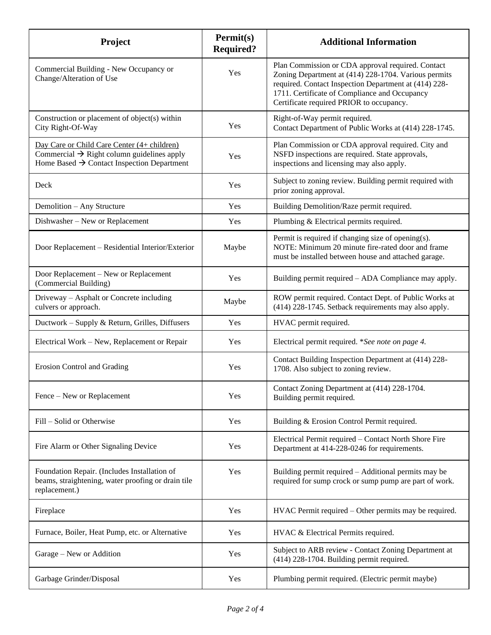| Project                                                                                                                                                         | <b>Permit(s)</b><br><b>Required?</b> | <b>Additional Information</b>                                                                                                                                                                                                                                   |
|-----------------------------------------------------------------------------------------------------------------------------------------------------------------|--------------------------------------|-----------------------------------------------------------------------------------------------------------------------------------------------------------------------------------------------------------------------------------------------------------------|
| Commercial Building - New Occupancy or<br>Change/Alteration of Use                                                                                              | Yes                                  | Plan Commission or CDA approval required. Contact<br>Zoning Department at (414) 228-1704. Various permits<br>required. Contact Inspection Department at (414) 228-<br>1711. Certificate of Compliance and Occupancy<br>Certificate required PRIOR to occupancy. |
| Construction or placement of object(s) within<br>City Right-Of-Way                                                                                              | Yes                                  | Right-of-Way permit required.<br>Contact Department of Public Works at (414) 228-1745.                                                                                                                                                                          |
| Day Care or Child Care Center (4+ children)<br>Commercial $\rightarrow$ Right column guidelines apply<br>Home Based $\rightarrow$ Contact Inspection Department | Yes                                  | Plan Commission or CDA approval required. City and<br>NSFD inspections are required. State approvals,<br>inspections and licensing may also apply.                                                                                                              |
| Deck                                                                                                                                                            | Yes                                  | Subject to zoning review. Building permit required with<br>prior zoning approval.                                                                                                                                                                               |
| Demolition - Any Structure                                                                                                                                      | Yes                                  | Building Demolition/Raze permit required.                                                                                                                                                                                                                       |
| Dishwasher - New or Replacement                                                                                                                                 | Yes                                  | Plumbing & Electrical permits required.                                                                                                                                                                                                                         |
| Door Replacement - Residential Interior/Exterior                                                                                                                | Maybe                                | Permit is required if changing size of opening(s).<br>NOTE: Minimum 20 minute fire-rated door and frame<br>must be installed between house and attached garage.                                                                                                 |
| Door Replacement - New or Replacement<br>(Commercial Building)                                                                                                  | Yes                                  | Building permit required - ADA Compliance may apply.                                                                                                                                                                                                            |
| Driveway - Asphalt or Concrete including<br>culvers or approach.                                                                                                | Maybe                                | ROW permit required. Contact Dept. of Public Works at<br>(414) 228-1745. Setback requirements may also apply.                                                                                                                                                   |
| Ductwork - Supply & Return, Grilles, Diffusers                                                                                                                  | Yes                                  | HVAC permit required.                                                                                                                                                                                                                                           |
| Electrical Work – New, Replacement or Repair                                                                                                                    | Yes                                  | Electrical permit required. *See note on page 4.                                                                                                                                                                                                                |
| <b>Erosion Control and Grading</b>                                                                                                                              | Yes                                  | Contact Building Inspection Department at (414) 228-<br>1708. Also subject to zoning review.                                                                                                                                                                    |
| Fence – New or Replacement                                                                                                                                      | Yes                                  | Contact Zoning Department at (414) 228-1704.<br>Building permit required.                                                                                                                                                                                       |
| Fill – Solid or Otherwise                                                                                                                                       | Yes                                  | Building & Erosion Control Permit required.                                                                                                                                                                                                                     |
| Fire Alarm or Other Signaling Device                                                                                                                            | Yes                                  | Electrical Permit required - Contact North Shore Fire<br>Department at 414-228-0246 for requirements.                                                                                                                                                           |
| Foundation Repair. (Includes Installation of<br>beams, straightening, water proofing or drain tile<br>replacement.)                                             | Yes                                  | Building permit required - Additional permits may be<br>required for sump crock or sump pump are part of work.                                                                                                                                                  |
| Fireplace                                                                                                                                                       | Yes                                  | HVAC Permit required - Other permits may be required.                                                                                                                                                                                                           |
| Furnace, Boiler, Heat Pump, etc. or Alternative                                                                                                                 | Yes                                  | HVAC & Electrical Permits required.                                                                                                                                                                                                                             |
| Garage – New or Addition                                                                                                                                        | Yes                                  | Subject to ARB review - Contact Zoning Department at<br>(414) 228-1704. Building permit required.                                                                                                                                                               |
| Garbage Grinder/Disposal                                                                                                                                        | Yes                                  | Plumbing permit required. (Electric permit maybe)                                                                                                                                                                                                               |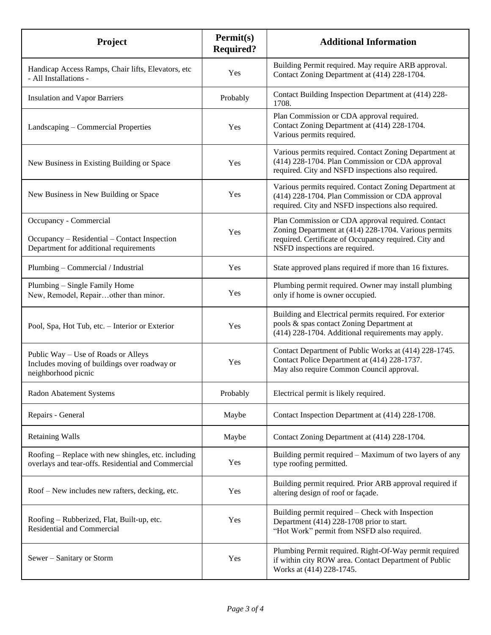| Project                                                                                                          | Permit(s)<br><b>Required?</b> | <b>Additional Information</b>                                                                                                                                                                        |
|------------------------------------------------------------------------------------------------------------------|-------------------------------|------------------------------------------------------------------------------------------------------------------------------------------------------------------------------------------------------|
| Handicap Access Ramps, Chair lifts, Elevators, etc<br>- All Installations -                                      | Yes                           | Building Permit required. May require ARB approval.<br>Contact Zoning Department at (414) 228-1704.                                                                                                  |
| <b>Insulation and Vapor Barriers</b>                                                                             | Probably                      | Contact Building Inspection Department at (414) 228-<br>1708.                                                                                                                                        |
| Landscaping - Commercial Properties                                                                              | Yes                           | Plan Commission or CDA approval required.<br>Contact Zoning Department at (414) 228-1704.<br>Various permits required.                                                                               |
| New Business in Existing Building or Space                                                                       | Yes                           | Various permits required. Contact Zoning Department at<br>(414) 228-1704. Plan Commission or CDA approval<br>required. City and NSFD inspections also required.                                      |
| New Business in New Building or Space                                                                            | Yes                           | Various permits required. Contact Zoning Department at<br>(414) 228-1704. Plan Commission or CDA approval<br>required. City and NSFD inspections also required.                                      |
| Occupancy - Commercial<br>Occupancy – Residential – Contact Inspection<br>Department for additional requirements | Yes                           | Plan Commission or CDA approval required. Contact<br>Zoning Department at (414) 228-1704. Various permits<br>required. Certificate of Occupancy required. City and<br>NSFD inspections are required. |
| Plumbing - Commercial / Industrial                                                                               | Yes                           | State approved plans required if more than 16 fixtures.                                                                                                                                              |
| Plumbing – Single Family Home<br>New, Remodel, Repairother than minor.                                           | Yes                           | Plumbing permit required. Owner may install plumbing<br>only if home is owner occupied.                                                                                                              |
| Pool, Spa, Hot Tub, etc. - Interior or Exterior                                                                  | Yes                           | Building and Electrical permits required. For exterior<br>pools & spas contact Zoning Department at<br>(414) 228-1704. Additional requirements may apply.                                            |
| Public Way – Use of Roads or Alleys<br>Includes moving of buildings over roadway or<br>neighborhood picnic       | Yes                           | Contact Department of Public Works at (414) 228-1745.<br>Contact Police Department at (414) 228-1737.<br>May also require Common Council approval.                                                   |
| Radon Abatement Systems                                                                                          | Probably                      | Electrical permit is likely required.                                                                                                                                                                |
| Repairs - General                                                                                                | Maybe                         | Contact Inspection Department at (414) 228-1708.                                                                                                                                                     |
| <b>Retaining Walls</b>                                                                                           | Maybe                         | Contact Zoning Department at (414) 228-1704.                                                                                                                                                         |
| Roofing – Replace with new shingles, etc. including<br>overlays and tear-offs. Residential and Commercial        | Yes                           | Building permit required - Maximum of two layers of any<br>type roofing permitted.                                                                                                                   |
| Roof – New includes new rafters, decking, etc.                                                                   | Yes                           | Building permit required. Prior ARB approval required if<br>altering design of roof or façade.                                                                                                       |
| Roofing - Rubberized, Flat, Built-up, etc.<br>Residential and Commercial                                         | Yes                           | Building permit required – Check with Inspection<br>Department (414) 228-1708 prior to start.<br>"Hot Work" permit from NSFD also required.                                                          |
| Sewer - Sanitary or Storm                                                                                        | Yes                           | Plumbing Permit required. Right-Of-Way permit required<br>if within city ROW area. Contact Department of Public<br>Works at (414) 228-1745.                                                          |